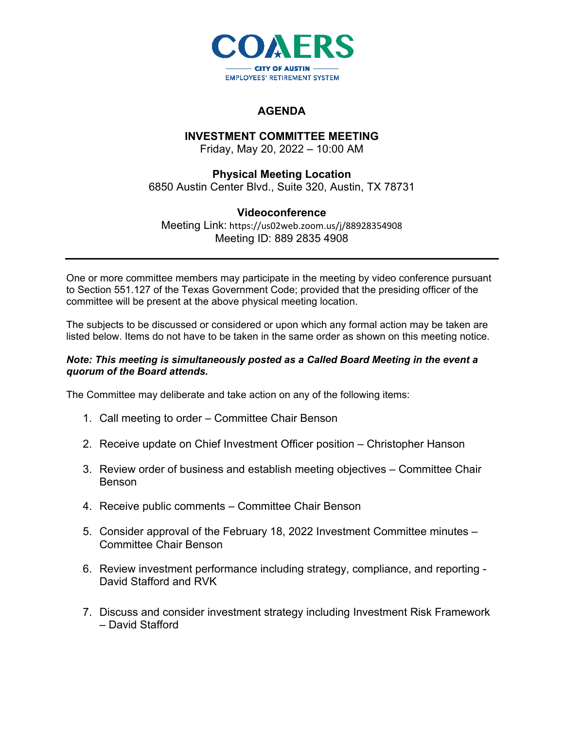

## **AGENDA**

# **INVESTMENT COMMITTEE MEETING**

Friday, May 20, 2022 – 10:00 AM

### **Physical Meeting Location**

6850 Austin Center Blvd., Suite 320, Austin, TX 78731

### **Videoconference**

Meeting Link: https://us02web.zoom.us/j/88928354908 Meeting ID: 889 2835 4908

One or more committee members may participate in the meeting by video conference pursuant to Section 551.127 of the Texas Government Code; provided that the presiding officer of the committee will be present at the above physical meeting location.

The subjects to be discussed or considered or upon which any formal action may be taken are listed below. Items do not have to be taken in the same order as shown on this meeting notice.

#### *Note: This meeting is simultaneously posted as a Called Board Meeting in the event a quorum of the Board attends.*

The Committee may deliberate and take action on any of the following items:

- 1. Call meeting to order Committee Chair Benson
- 2. Receive update on Chief Investment Officer position Christopher Hanson
- 3. Review order of business and establish meeting objectives Committee Chair Benson
- 4. Receive public comments Committee Chair Benson
- 5. Consider approval of the February 18, 2022 Investment Committee minutes Committee Chair Benson
- 6. Review investment performance including strategy, compliance, and reporting David Stafford and RVK
- 7. Discuss and consider investment strategy including Investment Risk Framework – David Stafford